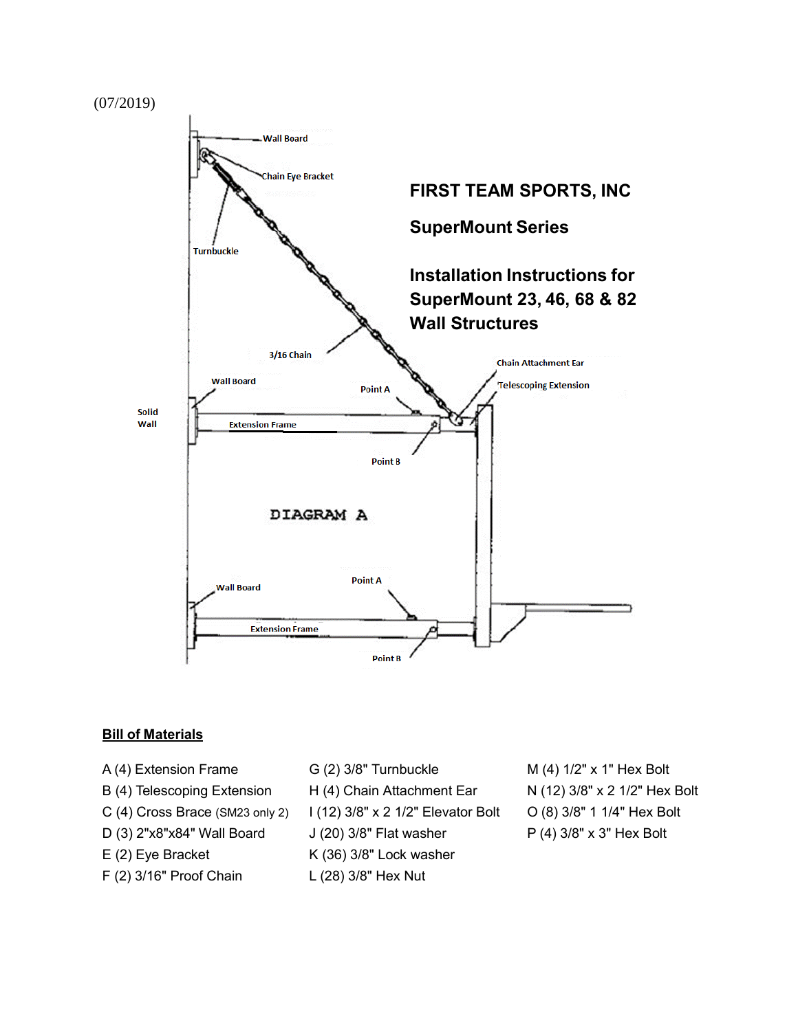



#### **Bill of Materials**

- A (4) Extension Frame  $G(2)$  3/8" Turnbuckle  $M(4)$  1/2" x 1" Hex Bolt
- 
- 
- 
- 
- F (2) 3/16" Proof Chain L (28) 3/8" Hex Nut
- 
- B (4) Telescoping Extension H (4) Chain Attachment Ear N (12) 3/8" x 2 1/2" Hex Bolt
- C (4) Cross Brace (SM23 only 2)  $1(12)$  3/8" x 2 1/2" Elevator Bolt  $O(8)$  3/8" 1 1/4" Hex Bolt
- D (3) 2"x8"x84" Wall Board J (20) 3/8" Flat washer P (4) 3/8" x 3" Hex Bolt
- E (2) Eye Bracket K (36) 3/8" Lock washer
	-
- 
- 
- 
-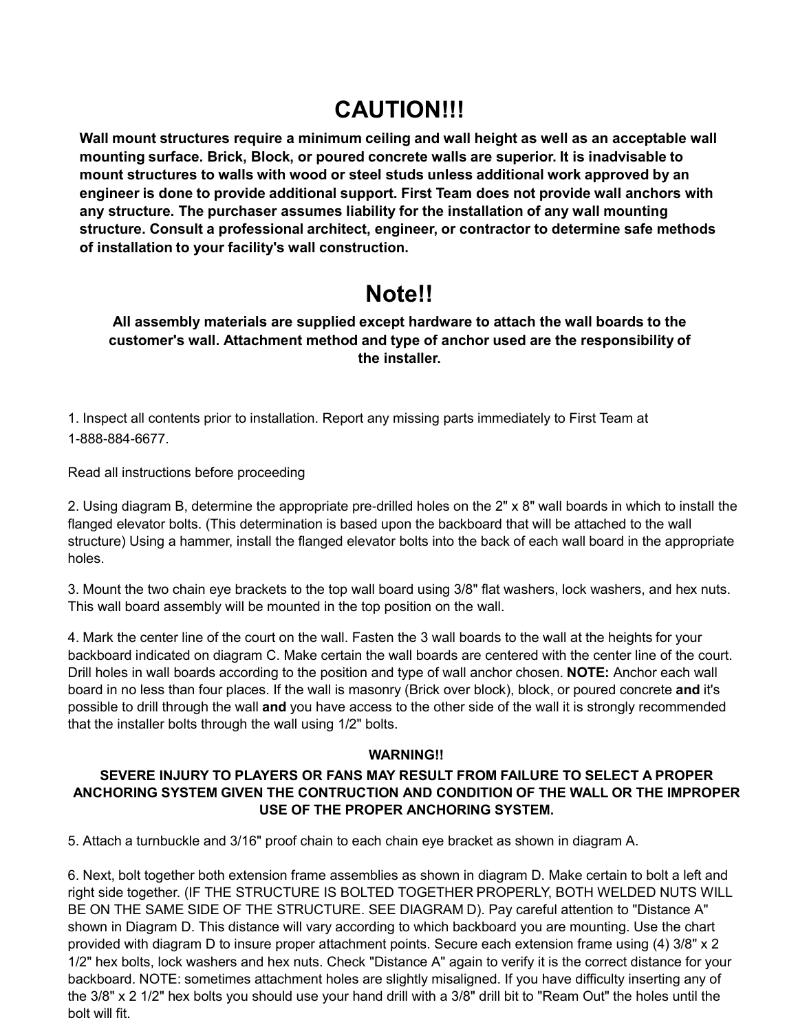# **CAUTION!!!**

**Wall mount structures require a minimum ceiling and wall height as well as an acceptable wall mounting surface. Brick, Block, or poured concrete walls are superior. It is inadvisable to mount structures to walls with wood or steel studs unless additional work approved by an engineer is done to provide additional support. First Team does not provide wall anchors with any structure. The purchaser assumes liability for the installation of any wall mounting structure. Consult a professional architect, engineer, or contractor to determine safe methods of installation to your facility's wall construction.**

## **Note!!**

**All assembly materials are supplied except hardware to attach the wall boards to the customer's wall. Attachment method and type of anchor used are the responsibility of the installer.**

1. Inspect all contents prior to installation. Report any missing parts immediately to First Team at 1-888-884-6677.

Read all instructions before proceeding

2. Using diagram B, determine the appropriate pre-drilled holes on the 2" x 8" wall boards in which to install the flanged elevator bolts. (This determination is based upon the backboard that will be attached to the wall structure) Using a hammer, install the flanged elevator bolts into the back of each wall board in the appropriate holes.

3. Mount the two chain eye brackets to the top wall board using 3/8" flat washers, lock washers, and hex nuts. This wall board assembly will be mounted in the top position on the wall.

4. Mark the center line of the court on the wall. Fasten the 3 wall boards to the wall at the heights for your backboard indicated on diagram C. Make certain the wall boards are centered with the center line of the court. Drill holes in wall boards according to the position and type of wall anchor chosen. **NOTE:** Anchor each wall board in no less than four places. If the wall is masonry (Brick over block), block, or poured concrete **and** it's possible to drill through the wall **and** you have access to the other side of the wall it is strongly recommended that the installer bolts through the wall using 1/2" bolts.

#### **WARNING!!**

#### **SEVERE INJURY TO PLAYERS OR FANS MAY RESULT FROM FAILURE TO SELECT A PROPER ANCHORING SYSTEM GIVEN THE CONTRUCTION AND CONDITION OF THE WALL OR THE IMPROPER USE OF THE PROPER ANCHORING SYSTEM.**

5. Attach a turnbuckle and 3/16" proof chain to each chain eye bracket as shown in diagram A.

6. Next, bolt together both extension frame assemblies as shown in diagram D. Make certain to bolt a left and right side together. (IF THE STRUCTURE IS BOLTED TOGETHER PROPERLY, BOTH WELDED NUTS WILL BE ON THE SAME SIDE OF THE STRUCTURE. SEE DIAGRAM D). Pay careful attention to "Distance A" shown in Diagram D. This distance will vary according to which backboard you are mounting. Use the chart provided with diagram D to insure proper attachment points. Secure each extension frame using (4) 3/8" x 2 1/2" hex bolts, lock washers and hex nuts. Check "Distance A" again to verify it is the correct distance for your backboard. NOTE: sometimes attachment holes are slightly misaligned. If you have difficulty inserting any of the 3/8" x 2 1/2" hex bolts you should use your hand drill with a 3/8" drill bit to "Ream Out" the holes until the bolt will fit.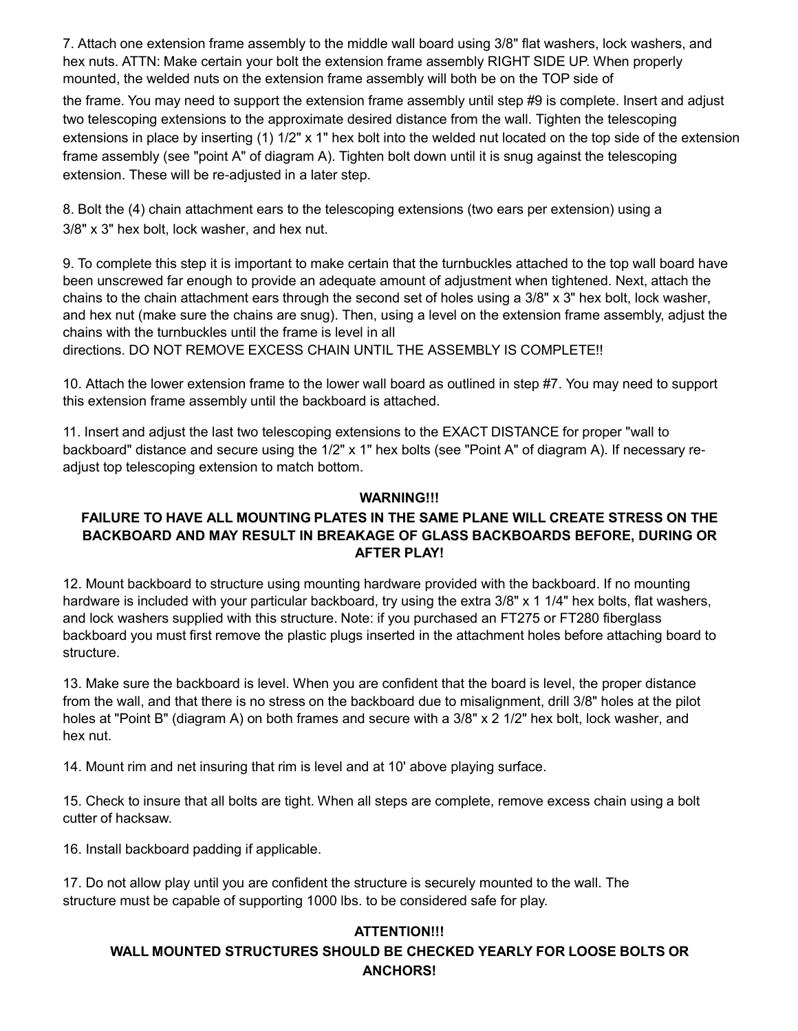7. Attach one extension frame assembly to the middle wall board using 3/8" flat washers, lock washers, and hex nuts. ATTN: Make certain your bolt the extension frame assembly RIGHT SIDE UP. When properly mounted, the welded nuts on the extension frame assembly will both be on the TOP side of

the frame. You may need to support the extension frame assembly until step #9 is complete. Insert and adjust two telescoping extensions to the approximate desired distance from the wall. Tighten the telescoping extensions in place by inserting (1) 1/2" x 1" hex bolt into the welded nut located on the top side of the extension frame assembly (see "point A" of diagram A). Tighten bolt down until it is snug against the telescoping extension. These will be re-adjusted in a later step.

8. Bolt the (4) chain attachment ears to the telescoping extensions (two ears per extension) using a 3/8" x 3" hex bolt, lock washer, and hex nut.

9. To complete this step it is important to make certain that the turnbuckles attached to the top wall board have been unscrewed far enough to provide an adequate amount of adjustment when tightened. Next, attach the chains to the chain attachment ears through the second set of holes using a 3/8" x 3" hex bolt, lock washer, and hex nut (make sure the chains are snug). Then, using a level on the extension frame assembly, adjust the chains with the turnbuckles until the frame is level in all directions. DO NOT REMOVE EXCESS CHAIN UNTIL THE ASSEMBLY IS COMPLETE!!

10. Attach the lower extension frame to the lower wall board as outlined in step #7. You may need to support this extension frame assembly until the backboard is attached.

11. Insert and adjust the last two telescoping extensions to the EXACT DISTANCE for proper "wall to backboard" distance and secure using the 1/2" x 1" hex bolts (see "Point A" of diagram A). If necessary readjust top telescoping extension to match bottom.

#### **WARNING!!!**

#### **FAILURE TO HAVE ALL MOUNTING PLATES IN THE SAME PLANE WILL CREATE STRESS ON THE BACKBOARD AND MAY RESULT IN BREAKAGE OF GLASS BACKBOARDS BEFORE, DURING OR AFTER PLAY!**

12. Mount backboard to structure using mounting hardware provided with the backboard. If no mounting hardware is included with your particular backboard, try using the extra 3/8" x 1 1/4" hex bolts, flat washers, and lock washers supplied with this structure. Note: if you purchased an FT275 or FT280 fiberglass backboard you must first remove the plastic plugs inserted in the attachment holes before attaching board to structure.

13. Make sure the backboard is level. When you are confident that the board is level, the proper distance from the wall, and that there is no stress on the backboard due to misalignment, drill 3/8" holes at the pilot holes at "Point B" (diagram A) on both frames and secure with a  $3/8$ " x 2  $1/2$ " hex bolt, lock washer, and hex nut.

14. Mount rim and net insuring that rim is level and at 10' above playing surface.

15. Check to insure that all bolts are tight. When all steps are complete, remove excess chain using a bolt cutter of hacksaw.

16. Install backboard padding if applicable.

17. Do not allow play until you are confident the structure is securely mounted to the wall. The structure must be capable of supporting 1000 lbs. to be considered safe for play.

### **ATTENTION!!! WALL MOUNTED STRUCTURES SHOULD BE CHECKED YEARLY FOR LOOSE BOLTS OR ANCHORS!**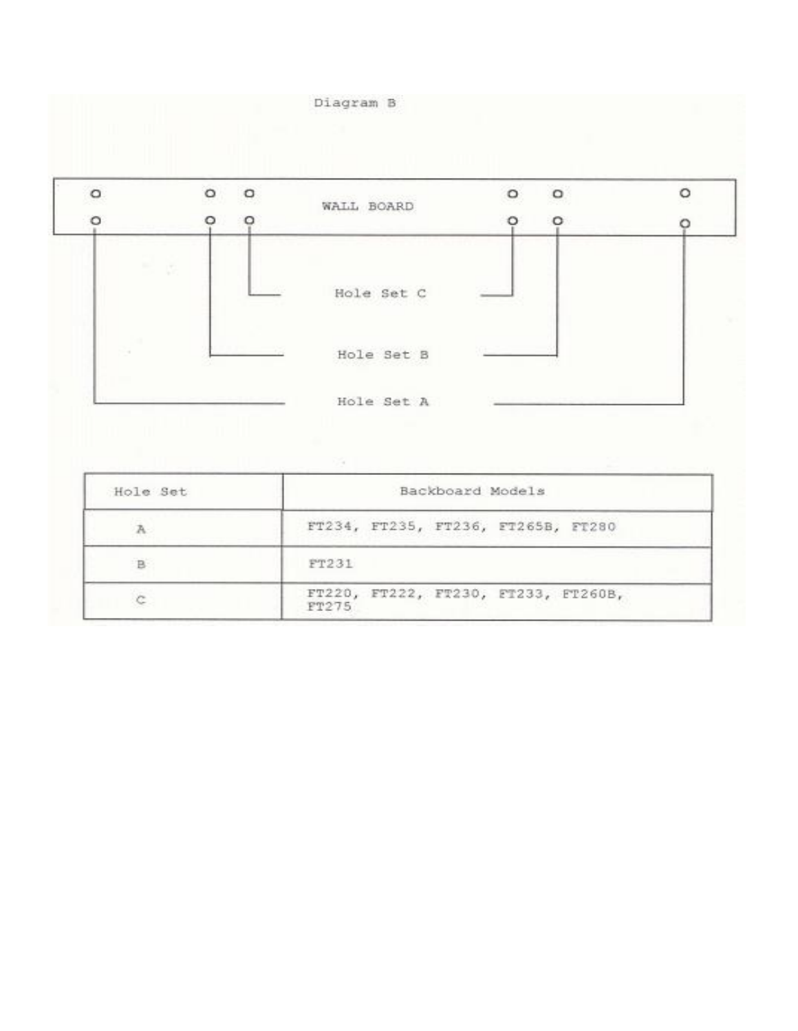

FT275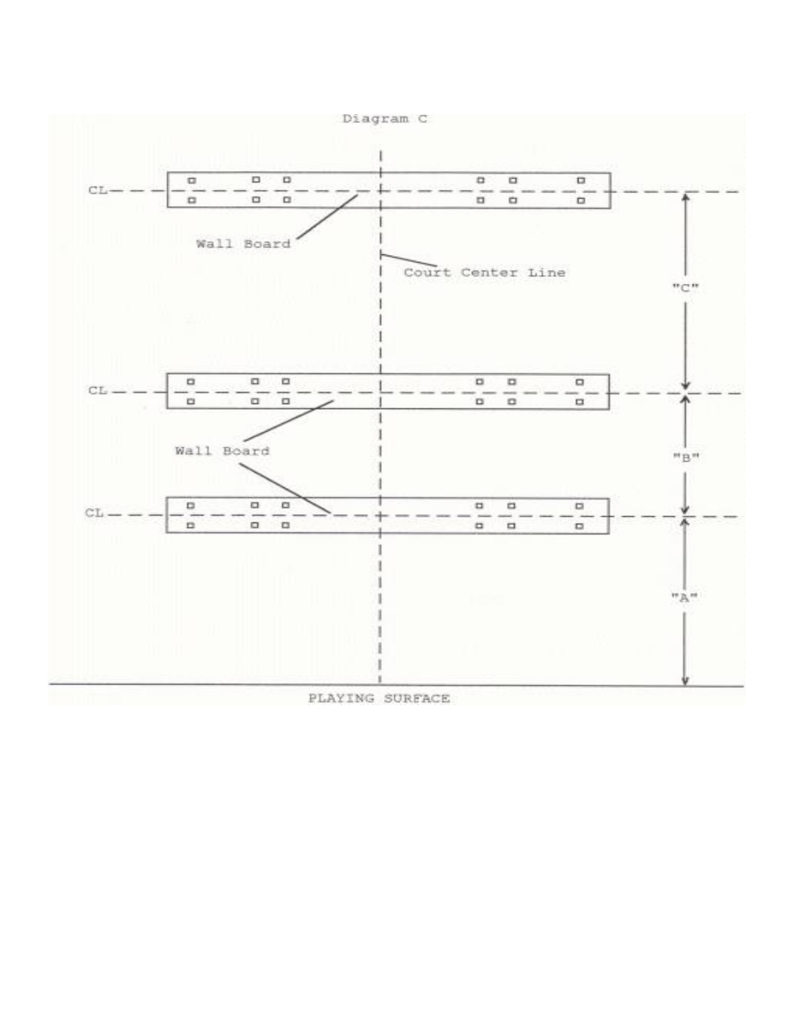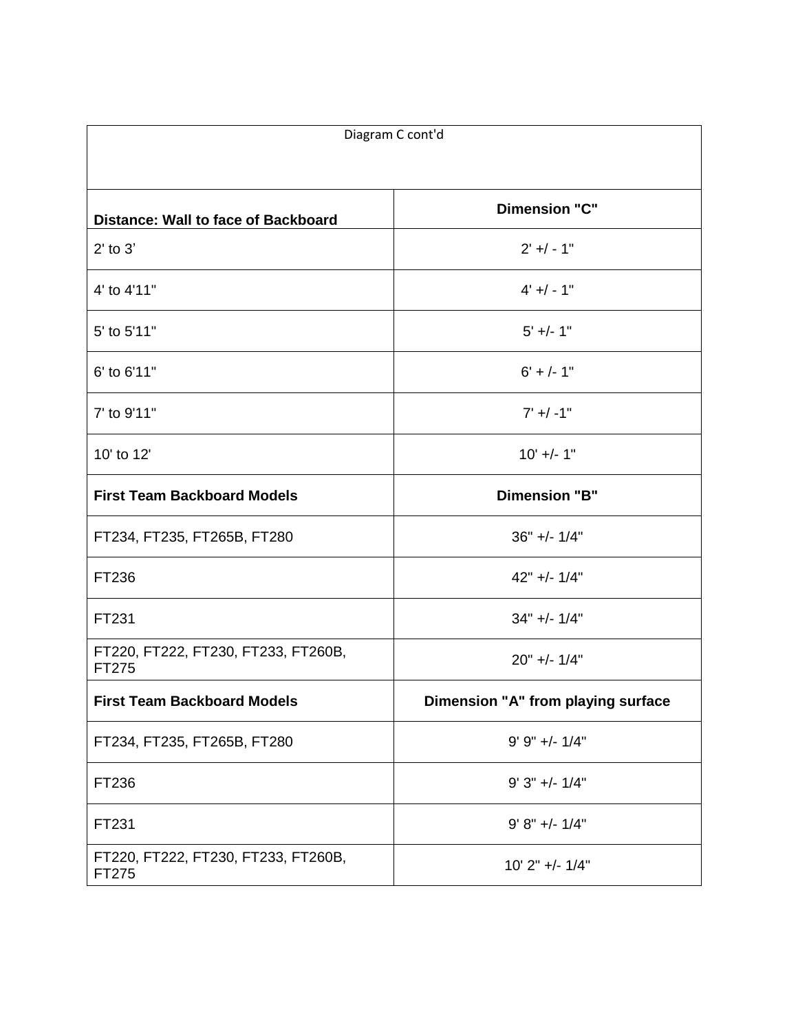| Diagram C cont'd                             |                                    |
|----------------------------------------------|------------------------------------|
| Distance: Wall to face of Backboard          | <b>Dimension "C"</b>               |
| $2'$ to $3'$                                 | $2' + / - 1"$                      |
| 4' to 4'11"                                  | $4' + / - 1"$                      |
| 5' to 5'11"                                  | $5' +/- 1"$                        |
| 6' to 6'11"                                  | $6' +/- 1''$                       |
| 7' to 9'11"                                  | $7' + / -1"$                       |
| 10' to 12'                                   | $10'$ +/- 1"                       |
| <b>First Team Backboard Models</b>           | <b>Dimension "B"</b>               |
| FT234, FT235, FT265B, FT280                  | $36" +/- 1/4"$                     |
| FT236                                        | 42" +/- 1/4"                       |
| FT231                                        | $34" +/- 1/4"$                     |
| FT220, FT222, FT230, FT233, FT260B,<br>FT275 | $20" +/- 1/4"$                     |
| <b>First Team Backboard Models</b>           | Dimension "A" from playing surface |
| FT234, FT235, FT265B, FT280                  | $9' 9'' +/- 1/4''$                 |
| FT236                                        | $9'3'' +/- 1/4''$                  |
| FT231                                        | $9' 8'' +/- 1/4''$                 |
| FT220, FT222, FT230, FT233, FT260B,<br>FT275 | $10'$ 2" +/- $1/4"$                |